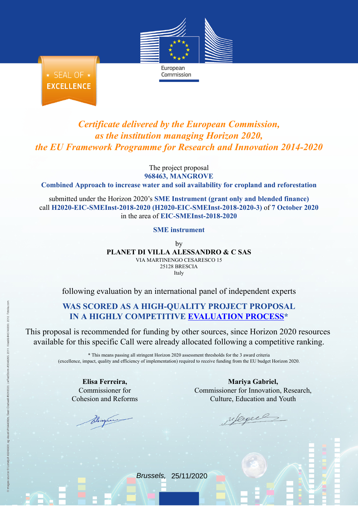European

★ SEAL OF ★ **EXCELLENCE** 

## *Certificate delivered by the European Commission, as the institution managing Horizon 2020, the EU Framework Programme for Research and Innovation 2014-2020*

Commission

The project proposal **968463, MANGROVE**

**Combined Approach to increase water and soil availability for cropland and reforestation**

submitted under the Horizon 2020's **SME Instrument (grant only and blended finance)** call **H2020-EIC-SMEInst-2018-2020 (H2020-EIC-SMEInst-2018-2020-3)** of **7 October 2020** in the area of **EIC-SMEInst-2018-2020**

**SME instrument**

by **PLANET DI VILLA ALESSANDRO & C SAS** VIA MARTINENGO CESARESCO 15 25128 BRESCIA Italy

following evaluation by an international panel of independent experts

## **WAS SCORED AS A HIGH-QUALITY PROJECT PROPOSAL IN A HIGHLY COMPETITIVE [EVALUATION](https://ec.europa.eu/info/funding-tenders/opportunities/portal/screen/programmes/h2020) PROCESS\***

This proposal is recommended for funding by other sources, since Horizon 2020 resources available for this specific Call were already allocated following a competitive ranking.

> \* This means passing all stringent Horizon 2020 assessment thresholds for the 3 award criteria (excellence, impact, quality and efficiency of implementation) required to receive funding from the EU budget Horizon 2020.

**Elisa Ferreira,** Commissioner for Cohesion and Reforms

**Mariya Gabriel,** Commissioner for Innovation, Research, Culture, Education and Youth

upegee

Brussels, 25/11/2020